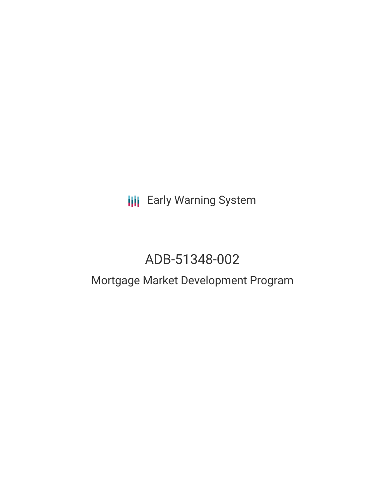**III** Early Warning System

# ADB-51348-002

# Mortgage Market Development Program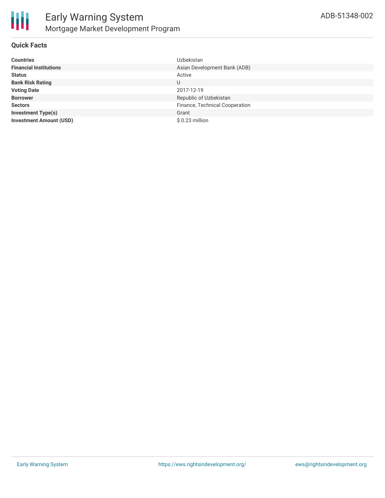

### **Quick Facts**

| <b>Countries</b>               | <b>Uzbekistan</b>              |
|--------------------------------|--------------------------------|
| <b>Financial Institutions</b>  | Asian Development Bank (ADB)   |
| <b>Status</b>                  | Active                         |
| <b>Bank Risk Rating</b>        | U                              |
| <b>Voting Date</b>             | 2017-12-19                     |
| <b>Borrower</b>                | Republic of Uzbekistan         |
| <b>Sectors</b>                 | Finance, Technical Cooperation |
| <b>Investment Type(s)</b>      | Grant                          |
| <b>Investment Amount (USD)</b> | \$0.23 million                 |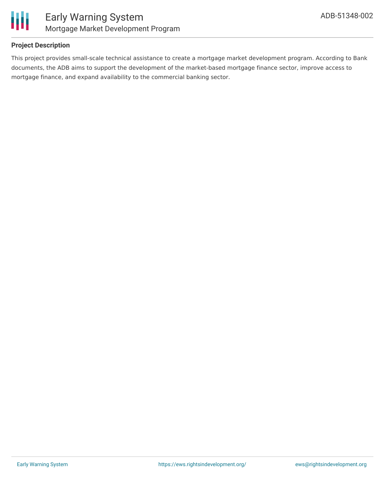

### **Project Description**

This project provides small-scale technical assistance to create a mortgage market development program. According to Bank documents, the ADB aims to support the development of the market-based mortgage finance sector, improve access to mortgage finance, and expand availability to the commercial banking sector.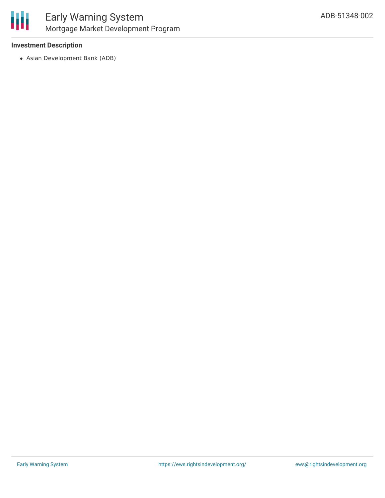

### **Investment Description**

Asian Development Bank (ADB)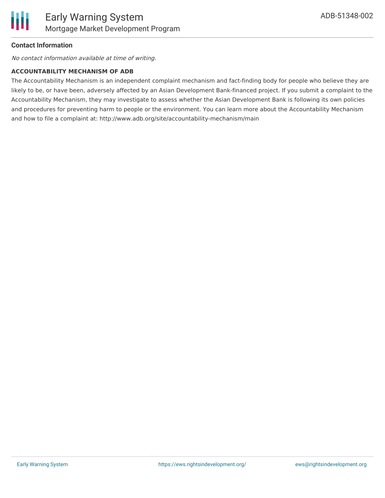

### **Contact Information**

No contact information available at time of writing.

#### **ACCOUNTABILITY MECHANISM OF ADB**

The Accountability Mechanism is an independent complaint mechanism and fact-finding body for people who believe they are likely to be, or have been, adversely affected by an Asian Development Bank-financed project. If you submit a complaint to the Accountability Mechanism, they may investigate to assess whether the Asian Development Bank is following its own policies and procedures for preventing harm to people or the environment. You can learn more about the Accountability Mechanism and how to file a complaint at: http://www.adb.org/site/accountability-mechanism/main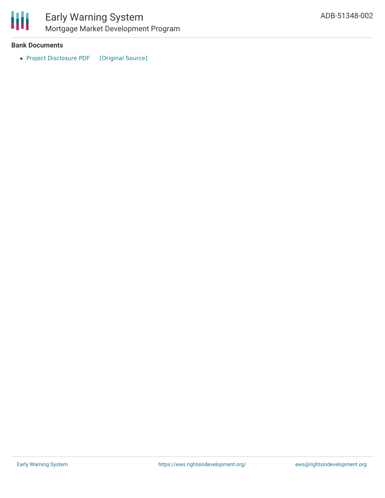

#### **Bank Documents**

• Project [Disclosure](https://ewsdata.rightsindevelopment.org/files/documents/02/ADB-51348-002.pdf) PDF [\[Original](https://www.adb.org/printpdf/projects/51348-002/main) Source]